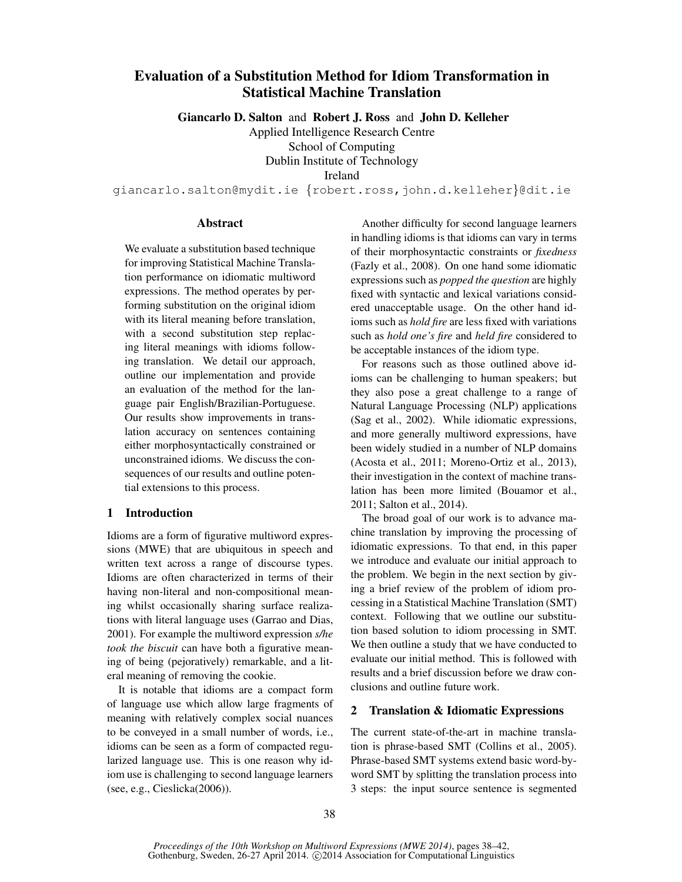# Evaluation of a Substitution Method for Idiom Transformation in Statistical Machine Translation

Giancarlo D. Salton and Robert J. Ross and John D. Kelleher

Applied Intelligence Research Centre

School of Computing

Dublin Institute of Technology

Ireland

giancarlo.salton@mydit.ie {robert.ross,john.d.kelleher}@dit.ie

#### Abstract

We evaluate a substitution based technique for improving Statistical Machine Translation performance on idiomatic multiword expressions. The method operates by performing substitution on the original idiom with its literal meaning before translation, with a second substitution step replacing literal meanings with idioms following translation. We detail our approach, outline our implementation and provide an evaluation of the method for the language pair English/Brazilian-Portuguese. Our results show improvements in translation accuracy on sentences containing either morphosyntactically constrained or unconstrained idioms. We discuss the consequences of our results and outline potential extensions to this process.

## 1 Introduction

Idioms are a form of figurative multiword expressions (MWE) that are ubiquitous in speech and written text across a range of discourse types. Idioms are often characterized in terms of their having non-literal and non-compositional meaning whilst occasionally sharing surface realizations with literal language uses (Garrao and Dias, 2001). For example the multiword expression *s/he took the biscuit* can have both a figurative meaning of being (pejoratively) remarkable, and a literal meaning of removing the cookie.

It is notable that idioms are a compact form of language use which allow large fragments of meaning with relatively complex social nuances to be conveyed in a small number of words, i.e., idioms can be seen as a form of compacted regularized language use. This is one reason why idiom use is challenging to second language learners (see, e.g., Cieslicka(2006)).

Another difficulty for second language learners in handling idioms is that idioms can vary in terms of their morphosyntactic constraints or *fixedness* (Fazly et al., 2008). On one hand some idiomatic expressions such as *popped the question* are highly fixed with syntactic and lexical variations considered unacceptable usage. On the other hand idioms such as *hold fire* are less fixed with variations such as *hold one's fire* and *held fire* considered to be acceptable instances of the idiom type.

For reasons such as those outlined above idioms can be challenging to human speakers; but they also pose a great challenge to a range of Natural Language Processing (NLP) applications (Sag et al., 2002). While idiomatic expressions, and more generally multiword expressions, have been widely studied in a number of NLP domains (Acosta et al., 2011; Moreno-Ortiz et al., 2013), their investigation in the context of machine translation has been more limited (Bouamor et al., 2011; Salton et al., 2014).

The broad goal of our work is to advance machine translation by improving the processing of idiomatic expressions. To that end, in this paper we introduce and evaluate our initial approach to the problem. We begin in the next section by giving a brief review of the problem of idiom processing in a Statistical Machine Translation (SMT) context. Following that we outline our substitution based solution to idiom processing in SMT. We then outline a study that we have conducted to evaluate our initial method. This is followed with results and a brief discussion before we draw conclusions and outline future work.

# 2 Translation & Idiomatic Expressions

The current state-of-the-art in machine translation is phrase-based SMT (Collins et al., 2005). Phrase-based SMT systems extend basic word-byword SMT by splitting the translation process into 3 steps: the input source sentence is segmented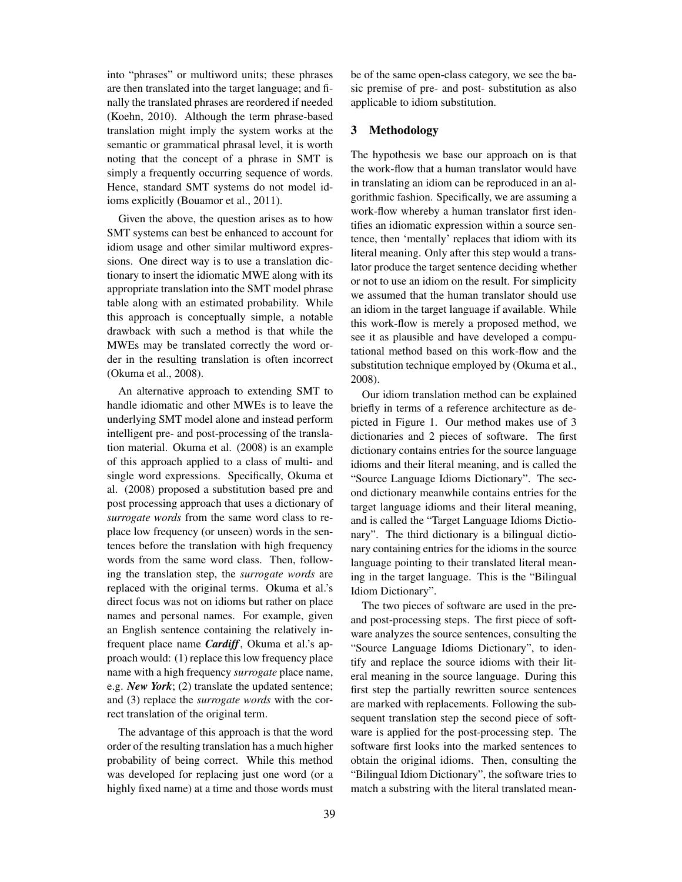into "phrases" or multiword units; these phrases are then translated into the target language; and finally the translated phrases are reordered if needed (Koehn, 2010). Although the term phrase-based translation might imply the system works at the semantic or grammatical phrasal level, it is worth noting that the concept of a phrase in SMT is simply a frequently occurring sequence of words. Hence, standard SMT systems do not model idioms explicitly (Bouamor et al., 2011).

Given the above, the question arises as to how SMT systems can best be enhanced to account for idiom usage and other similar multiword expressions. One direct way is to use a translation dictionary to insert the idiomatic MWE along with its appropriate translation into the SMT model phrase table along with an estimated probability. While this approach is conceptually simple, a notable drawback with such a method is that while the MWEs may be translated correctly the word order in the resulting translation is often incorrect (Okuma et al., 2008).

An alternative approach to extending SMT to handle idiomatic and other MWEs is to leave the underlying SMT model alone and instead perform intelligent pre- and post-processing of the translation material. Okuma et al. (2008) is an example of this approach applied to a class of multi- and single word expressions. Specifically, Okuma et al. (2008) proposed a substitution based pre and post processing approach that uses a dictionary of *surrogate words* from the same word class to replace low frequency (or unseen) words in the sentences before the translation with high frequency words from the same word class. Then, following the translation step, the *surrogate words* are replaced with the original terms. Okuma et al.'s direct focus was not on idioms but rather on place names and personal names. For example, given an English sentence containing the relatively infrequent place name *Cardiff*, Okuma et al.'s approach would: (1) replace this low frequency place name with a high frequency *surrogate* place name, e.g. *New York*; (2) translate the updated sentence; and (3) replace the *surrogate words* with the correct translation of the original term.

The advantage of this approach is that the word order of the resulting translation has a much higher probability of being correct. While this method was developed for replacing just one word (or a highly fixed name) at a time and those words must be of the same open-class category, we see the basic premise of pre- and post- substitution as also applicable to idiom substitution.

### 3 Methodology

The hypothesis we base our approach on is that the work-flow that a human translator would have in translating an idiom can be reproduced in an algorithmic fashion. Specifically, we are assuming a work-flow whereby a human translator first identifies an idiomatic expression within a source sentence, then 'mentally' replaces that idiom with its literal meaning. Only after this step would a translator produce the target sentence deciding whether or not to use an idiom on the result. For simplicity we assumed that the human translator should use an idiom in the target language if available. While this work-flow is merely a proposed method, we see it as plausible and have developed a computational method based on this work-flow and the substitution technique employed by (Okuma et al., 2008).

Our idiom translation method can be explained briefly in terms of a reference architecture as depicted in Figure 1. Our method makes use of 3 dictionaries and 2 pieces of software. The first dictionary contains entries for the source language idioms and their literal meaning, and is called the "Source Language Idioms Dictionary". The second dictionary meanwhile contains entries for the target language idioms and their literal meaning, and is called the "Target Language Idioms Dictionary". The third dictionary is a bilingual dictionary containing entries for the idioms in the source language pointing to their translated literal meaning in the target language. This is the "Bilingual Idiom Dictionary".

The two pieces of software are used in the preand post-processing steps. The first piece of software analyzes the source sentences, consulting the "Source Language Idioms Dictionary", to identify and replace the source idioms with their literal meaning in the source language. During this first step the partially rewritten source sentences are marked with replacements. Following the subsequent translation step the second piece of software is applied for the post-processing step. The software first looks into the marked sentences to obtain the original idioms. Then, consulting the "Bilingual Idiom Dictionary", the software tries to match a substring with the literal translated mean-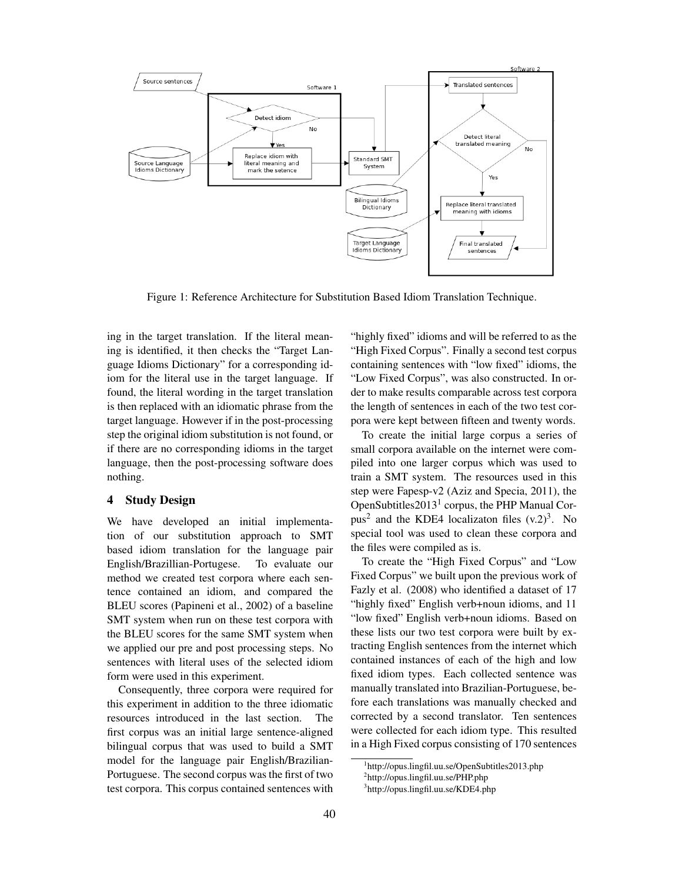

Figure 1: Reference Architecture for Substitution Based Idiom Translation Technique.

ing in the target translation. If the literal meaning is identified, it then checks the "Target Language Idioms Dictionary" for a corresponding idiom for the literal use in the target language. If found, the literal wording in the target translation is then replaced with an idiomatic phrase from the target language. However if in the post-processing step the original idiom substitution is not found, or if there are no corresponding idioms in the target language, then the post-processing software does nothing.

#### 4 Study Design

We have developed an initial implementation of our substitution approach to SMT based idiom translation for the language pair English/Brazillian-Portugese. To evaluate our method we created test corpora where each sentence contained an idiom, and compared the BLEU scores (Papineni et al., 2002) of a baseline SMT system when run on these test corpora with the BLEU scores for the same SMT system when we applied our pre and post processing steps. No sentences with literal uses of the selected idiom form were used in this experiment.

Consequently, three corpora were required for this experiment in addition to the three idiomatic resources introduced in the last section. The first corpus was an initial large sentence-aligned bilingual corpus that was used to build a SMT model for the language pair English/Brazilian-Portuguese. The second corpus was the first of two test corpora. This corpus contained sentences with "highly fixed" idioms and will be referred to as the "High Fixed Corpus". Finally a second test corpus containing sentences with "low fixed" idioms, the "Low Fixed Corpus", was also constructed. In order to make results comparable across test corpora the length of sentences in each of the two test corpora were kept between fifteen and twenty words.

To create the initial large corpus a series of small corpora available on the internet were compiled into one larger corpus which was used to train a SMT system. The resources used in this step were Fapesp-v2 (Aziz and Specia, 2011), the OpenSubtitles2013<sup>1</sup> corpus, the PHP Manual Corpus<sup>2</sup> and the KDE4 localizaton files  $(v.2)^3$ . No special tool was used to clean these corpora and the files were compiled as is.

To create the "High Fixed Corpus" and "Low Fixed Corpus" we built upon the previous work of Fazly et al. (2008) who identified a dataset of 17 "highly fixed" English verb+noun idioms, and 11 "low fixed" English verb+noun idioms. Based on these lists our two test corpora were built by extracting English sentences from the internet which contained instances of each of the high and low fixed idiom types. Each collected sentence was manually translated into Brazilian-Portuguese, before each translations was manually checked and corrected by a second translator. Ten sentences were collected for each idiom type. This resulted in a High Fixed corpus consisting of 170 sentences

<sup>1</sup> http://opus.lingfil.uu.se/OpenSubtitles2013.php

<sup>&</sup>lt;sup>2</sup>http://opus.lingfil.uu.se/PHP.php

<sup>3</sup> http://opus.lingfil.uu.se/KDE4.php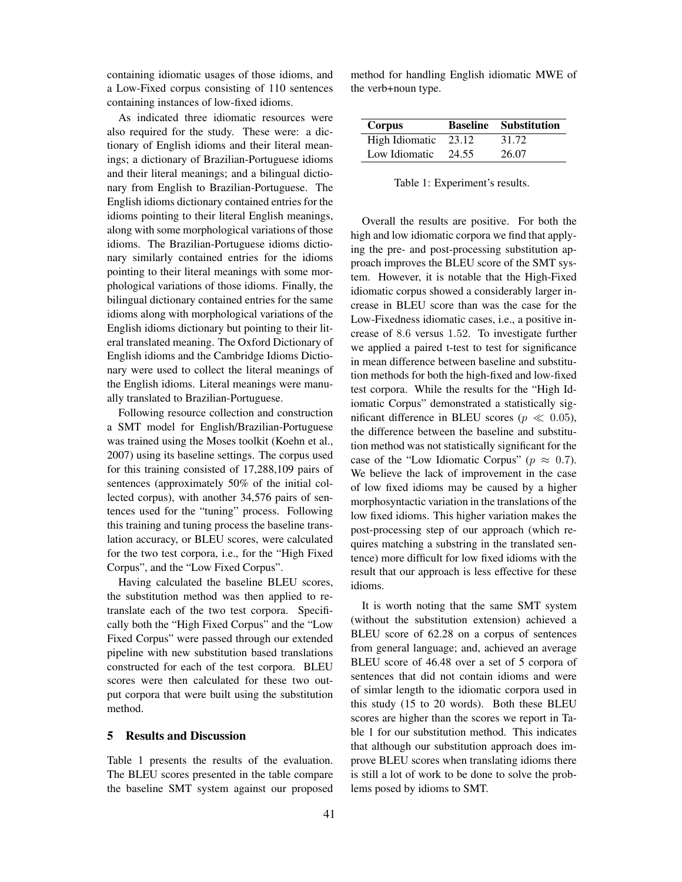containing idiomatic usages of those idioms, and a Low-Fixed corpus consisting of 110 sentences containing instances of low-fixed idioms.

As indicated three idiomatic resources were also required for the study. These were: a dictionary of English idioms and their literal meanings; a dictionary of Brazilian-Portuguese idioms and their literal meanings; and a bilingual dictionary from English to Brazilian-Portuguese. The English idioms dictionary contained entries for the idioms pointing to their literal English meanings, along with some morphological variations of those idioms. The Brazilian-Portuguese idioms dictionary similarly contained entries for the idioms pointing to their literal meanings with some morphological variations of those idioms. Finally, the bilingual dictionary contained entries for the same idioms along with morphological variations of the English idioms dictionary but pointing to their literal translated meaning. The Oxford Dictionary of English idioms and the Cambridge Idioms Dictionary were used to collect the literal meanings of the English idioms. Literal meanings were manually translated to Brazilian-Portuguese.

Following resource collection and construction a SMT model for English/Brazilian-Portuguese was trained using the Moses toolkit (Koehn et al., 2007) using its baseline settings. The corpus used for this training consisted of 17,288,109 pairs of sentences (approximately 50% of the initial collected corpus), with another 34,576 pairs of sentences used for the "tuning" process. Following this training and tuning process the baseline translation accuracy, or BLEU scores, were calculated for the two test corpora, i.e., for the "High Fixed Corpus", and the "Low Fixed Corpus".

Having calculated the baseline BLEU scores, the substitution method was then applied to retranslate each of the two test corpora. Specifically both the "High Fixed Corpus" and the "Low Fixed Corpus" were passed through our extended pipeline with new substitution based translations constructed for each of the test corpora. BLEU scores were then calculated for these two output corpora that were built using the substitution method.

## 5 Results and Discussion

Table 1 presents the results of the evaluation. The BLEU scores presented in the table compare the baseline SMT system against our proposed

method for handling English idiomatic MWE of the verb+noun type.

| Corpus         |       | <b>Baseline</b> Substitution |
|----------------|-------|------------------------------|
| High Idiomatic | 23.12 | 31.72                        |
| Low Idiomatic  | 24.55 | 26.07                        |

Table 1: Experiment's results.

Overall the results are positive. For both the high and low idiomatic corpora we find that applying the pre- and post-processing substitution approach improves the BLEU score of the SMT system. However, it is notable that the High-Fixed idiomatic corpus showed a considerably larger increase in BLEU score than was the case for the Low-Fixedness idiomatic cases, i.e., a positive increase of 8.6 versus 1.52. To investigate further we applied a paired t-test to test for significance in mean difference between baseline and substitution methods for both the high-fixed and low-fixed test corpora. While the results for the "High Idiomatic Corpus" demonstrated a statistically significant difference in BLEU scores ( $p \ll 0.05$ ), the difference between the baseline and substitution method was not statistically significant for the case of the "Low Idiomatic Corpus" ( $p \approx 0.7$ ). We believe the lack of improvement in the case of low fixed idioms may be caused by a higher morphosyntactic variation in the translations of the low fixed idioms. This higher variation makes the post-processing step of our approach (which requires matching a substring in the translated sentence) more difficult for low fixed idioms with the result that our approach is less effective for these idioms.

It is worth noting that the same SMT system (without the substitution extension) achieved a BLEU score of 62.28 on a corpus of sentences from general language; and, achieved an average BLEU score of 46.48 over a set of 5 corpora of sentences that did not contain idioms and were of simlar length to the idiomatic corpora used in this study (15 to 20 words). Both these BLEU scores are higher than the scores we report in Table 1 for our substitution method. This indicates that although our substitution approach does improve BLEU scores when translating idioms there is still a lot of work to be done to solve the problems posed by idioms to SMT.